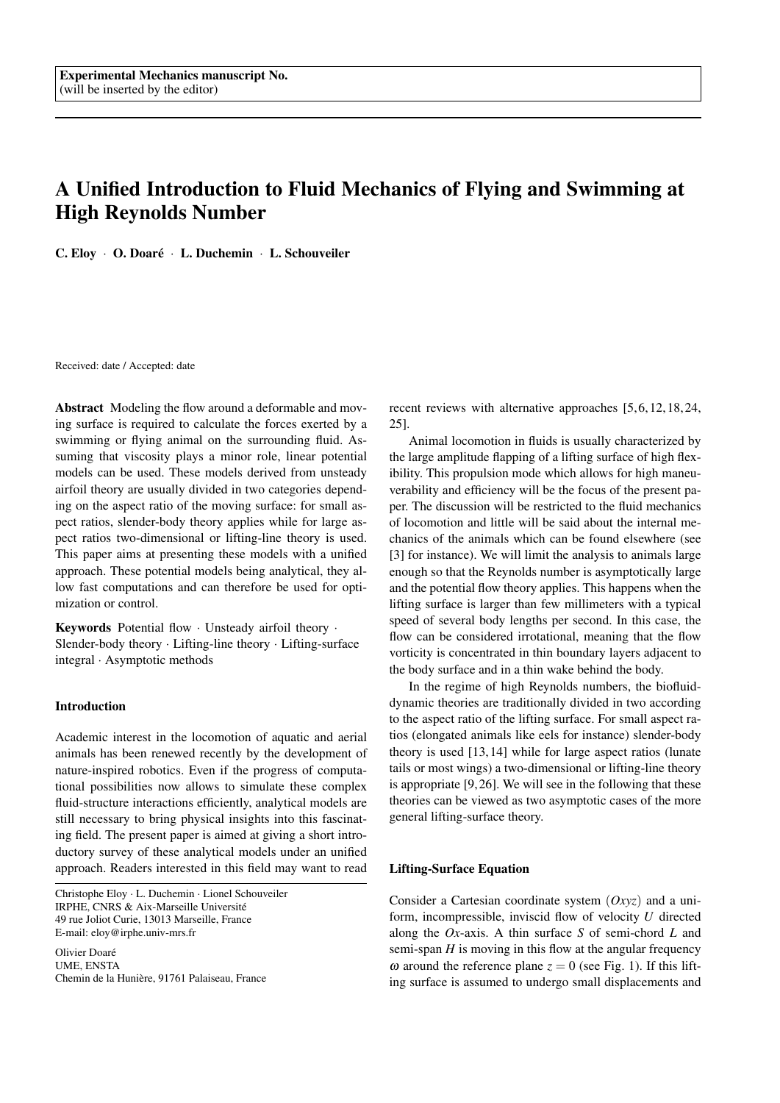# A Unified Introduction to Fluid Mechanics of Flying and Swimming at High Reynolds Number

C. Eloy · O. Doaré · L. Duchemin · L. Schouveiler

Received: date / Accepted: date

Abstract Modeling the flow around a deformable and moving surface is required to calculate the forces exerted by a swimming or flying animal on the surrounding fluid. Assuming that viscosity plays a minor role, linear potential models can be used. These models derived from unsteady airfoil theory are usually divided in two categories depending on the aspect ratio of the moving surface: for small aspect ratios, slender-body theory applies while for large aspect ratios two-dimensional or lifting-line theory is used. This paper aims at presenting these models with a unified approach. These potential models being analytical, they allow fast computations and can therefore be used for optimization or control.

Keywords Potential flow · Unsteady airfoil theory · Slender-body theory · Lifting-line theory · Lifting-surface integral · Asymptotic methods

#### Introduction

Academic interest in the locomotion of aquatic and aerial animals has been renewed recently by the development of nature-inspired robotics. Even if the progress of computational possibilities now allows to simulate these complex fluid-structure interactions efficiently, analytical models are still necessary to bring physical insights into this fascinating field. The present paper is aimed at giving a short introductory survey of these analytical models under an unified approach. Readers interested in this field may want to read

Christophe Eloy · L. Duchemin · Lionel Schouveiler IRPHE, CNRS & Aix-Marseille Universite´ 49 rue Joliot Curie, 13013 Marseille, France E-mail: eloy@irphe.univ-mrs.fr

Olivier Doaré UME, ENSTA Chemin de la Hunière, 91761 Palaiseau, France recent reviews with alternative approaches [5, 6, 12, 18, 24, 25].

Animal locomotion in fluids is usually characterized by the large amplitude flapping of a lifting surface of high flexibility. This propulsion mode which allows for high maneuverability and efficiency will be the focus of the present paper. The discussion will be restricted to the fluid mechanics of locomotion and little will be said about the internal mechanics of the animals which can be found elsewhere (see [3] for instance). We will limit the analysis to animals large enough so that the Reynolds number is asymptotically large and the potential flow theory applies. This happens when the lifting surface is larger than few millimeters with a typical speed of several body lengths per second. In this case, the flow can be considered irrotational, meaning that the flow vorticity is concentrated in thin boundary layers adjacent to the body surface and in a thin wake behind the body.

In the regime of high Reynolds numbers, the biofluiddynamic theories are traditionally divided in two according to the aspect ratio of the lifting surface. For small aspect ratios (elongated animals like eels for instance) slender-body theory is used [13, 14] while for large aspect ratios (lunate tails or most wings) a two-dimensional or lifting-line theory is appropriate [9, 26]. We will see in the following that these theories can be viewed as two asymptotic cases of the more general lifting-surface theory.

## Lifting-Surface Equation

Consider a Cartesian coordinate system (*Oxyz*) and a uniform, incompressible, inviscid flow of velocity *U* directed along the *Ox*-axis. A thin surface *S* of semi-chord *L* and semi-span *H* is moving in this flow at the angular frequency  $\omega$  around the reference plane  $z = 0$  (see Fig. 1). If this lifting surface is assumed to undergo small displacements and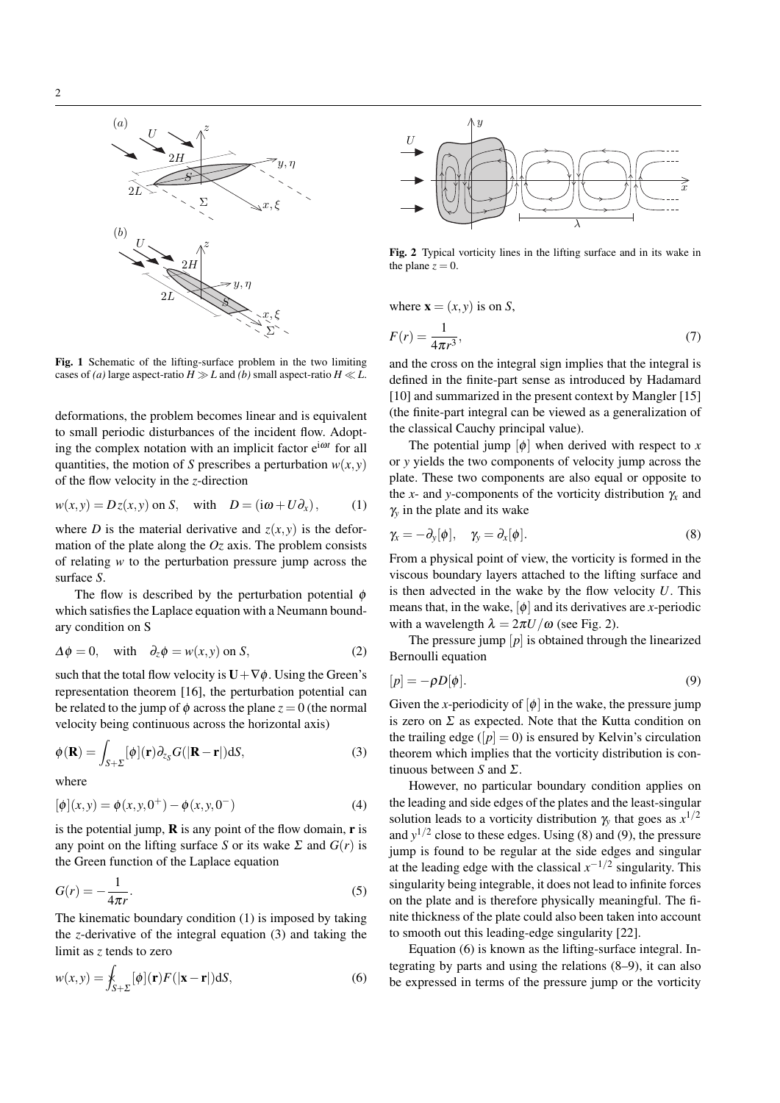

Fig. 1 Schematic of the lifting-surface problem in the two limiting cases of *(a)* large aspect-ratio  $H \gg L$  and *(b)* small aspect-ratio  $H \ll L$ .

deformations, the problem becomes linear and is equivalent to small periodic disturbances of the incident flow. Adopting the complex notation with an implicit factor e<sup>iωt</sup> for all quantities, the motion of *S* prescribes a perturbation  $w(x, y)$ of the flow velocity in the *z*-direction

$$
w(x, y) = Dz(x, y) \text{ on } S, \quad \text{with} \quad D = (\mathrm{i}\omega + U\partial_x), \tag{1}
$$

where *D* is the material derivative and  $z(x, y)$  is the deformation of the plate along the *Oz* axis. The problem consists of relating *w* to the perturbation pressure jump across the surface *S*.

The flow is described by the perturbation potential  $\phi$ which satisfies the Laplace equation with a Neumann boundary condition on S

$$
\Delta \phi = 0, \quad \text{with} \quad \partial_z \phi = w(x, y) \text{ on } S,
$$
 (2)

such that the total flow velocity is  $U + \nabla \phi$ . Using the Green's representation theorem [16], the perturbation potential can be related to the jump of  $\phi$  across the plane  $z = 0$  (the normal velocity being continuous across the horizontal axis)

$$
\phi(\mathbf{R}) = \int_{S+\Sigma} [\phi](\mathbf{r}) \partial_{z_S} G(|\mathbf{R}-\mathbf{r}|) dS,
$$
\n(3)

where

$$
[\phi](x, y) = \phi(x, y, 0^+) - \phi(x, y, 0^-)
$$
\n(4)

is the potential jump,  $\bf{R}$  is any point of the flow domain,  $\bf{r}$  is any point on the lifting surface *S* or its wake  $\Sigma$  and  $G(r)$  is the Green function of the Laplace equation

$$
G(r) = -\frac{1}{4\pi r}.\tag{5}
$$

The kinematic boundary condition (1) is imposed by taking the *z*-derivative of the integral equation (3) and taking the limit as *z* tends to zero

$$
w(x, y) = \oint_{S+\Sigma} [\phi](\mathbf{r}) F(|\mathbf{x} - \mathbf{r}|) \mathrm{d}S,\tag{6}
$$



Fig. 2 Typical vorticity lines in the lifting surface and in its wake in the plane  $z = 0$ .

where  $\mathbf{x} = (x, y)$  is on *S*,

$$
F(r) = \frac{1}{4\pi r^3},\tag{7}
$$

and the cross on the integral sign implies that the integral is defined in the finite-part sense as introduced by Hadamard [10] and summarized in the present context by Mangler [15] (the finite-part integral can be viewed as a generalization of the classical Cauchy principal value).

The potential jump  $[\phi]$  when derived with respect to *x* or *y* yields the two components of velocity jump across the plate. These two components are also equal or opposite to the *x*- and *y*-components of the vorticity distribution  $\gamma_x$  and γ*<sup>y</sup>* in the plate and its wake

$$
\gamma_x = -\partial_y[\phi], \quad \gamma_y = \partial_x[\phi]. \tag{8}
$$

From a physical point of view, the vorticity is formed in the viscous boundary layers attached to the lifting surface and is then advected in the wake by the flow velocity *U*. This means that, in the wake,  $[\phi]$  and its derivatives are *x*-periodic with a wavelength  $\lambda = 2\pi U/\omega$  (see Fig. 2).

The pressure jump  $[p]$  is obtained through the linearized Bernoulli equation

$$
[p] = -\rho D[\phi].\tag{9}
$$

Given the *x*-periodicity of  $[\phi]$  in the wake, the pressure jump is zero on  $\Sigma$  as expected. Note that the Kutta condition on the trailing edge ( $[p] = 0$ ) is ensured by Kelvin's circulation theorem which implies that the vorticity distribution is continuous between *S* and Σ.

However, no particular boundary condition applies on the leading and side edges of the plates and the least-singular solution leads to a vorticity distribution  $\gamma_y$  that goes as  $x^{1/2}$ and  $y^{1/2}$  close to these edges. Using (8) and (9), the pressure jump is found to be regular at the side edges and singular at the leading edge with the classical  $x^{-1/2}$  singularity. This singularity being integrable, it does not lead to infinite forces on the plate and is therefore physically meaningful. The finite thickness of the plate could also been taken into account to smooth out this leading-edge singularity [22].

Equation (6) is known as the lifting-surface integral. Integrating by parts and using the relations (8–9), it can also be expressed in terms of the pressure jump or the vorticity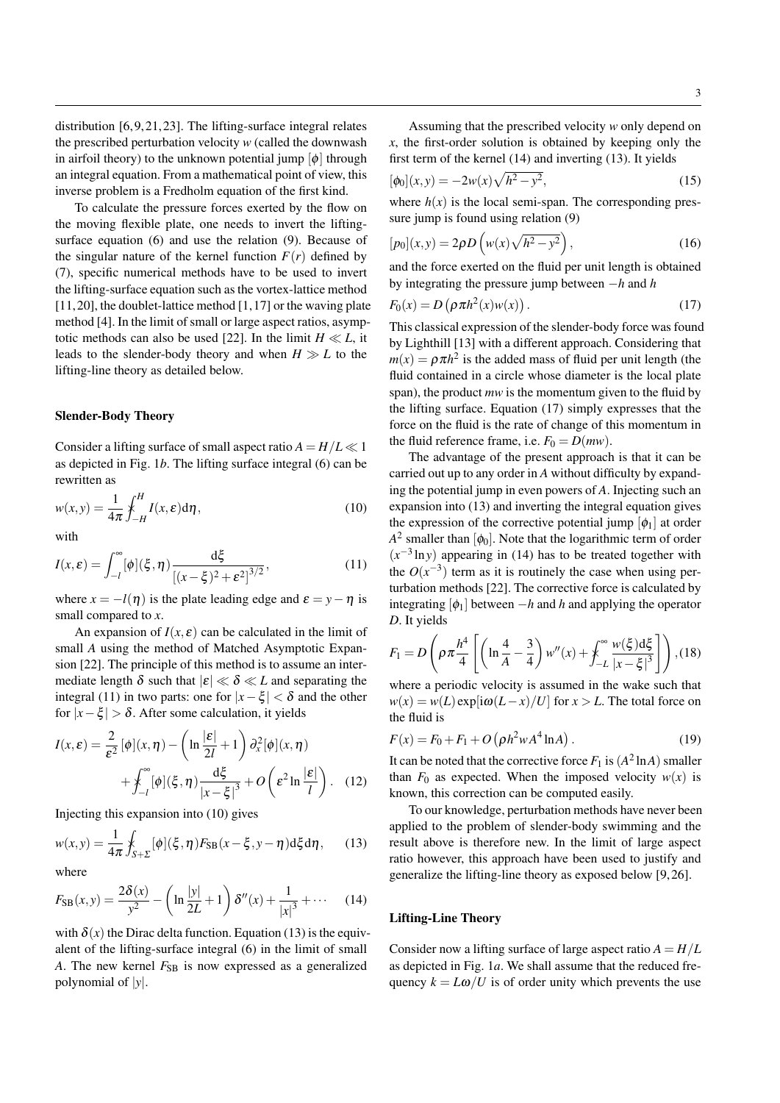distribution [6, 9, 21, 23]. The lifting-surface integral relates the prescribed perturbation velocity *w* (called the downwash in airfoil theory) to the unknown potential jump  $[\phi]$  through an integral equation. From a mathematical point of view, this inverse problem is a Fredholm equation of the first kind.

To calculate the pressure forces exerted by the flow on the moving flexible plate, one needs to invert the liftingsurface equation (6) and use the relation (9). Because of the singular nature of the kernel function  $F(r)$  defined by (7), specific numerical methods have to be used to invert the lifting-surface equation such as the vortex-lattice method [11, 20], the doublet-lattice method [1, 17] or the waving plate method [4]. In the limit of small or large aspect ratios, asymptotic methods can also be used [22]. In the limit  $H \ll L$ , it leads to the slender-body theory and when  $H \gg L$  to the lifting-line theory as detailed below.

### Slender-Body Theory

Consider a lifting surface of small aspect ratio  $A = H/L \ll 1$ as depicted in Fig. 1*b*. The lifting surface integral (6) can be rewritten as

$$
w(x,y) = \frac{1}{4\pi} \oint_{-H}^{H} I(x,\varepsilon) d\eta,
$$
\n(10)

with

$$
I(x,\varepsilon) = \int_{-l}^{\infty} [\phi](\xi,\eta) \frac{d\xi}{[(x-\xi)^2 + \varepsilon^2]^{3/2}},
$$
(11)

where  $x = -l(\eta)$  is the plate leading edge and  $\varepsilon = y - \eta$  is small compared to *x*.

An expansion of  $I(x, \varepsilon)$  can be calculated in the limit of small *A* using the method of Matched Asymptotic Expansion [22]. The principle of this method is to assume an intermediate length  $\delta$  such that  $|\varepsilon| \ll \delta \ll L$  and separating the integral (11) in two parts: one for  $|x-\xi| < \delta$  and the other for  $|x-\xi| > \delta$ . After some calculation, it yields

$$
I(x,\varepsilon) = \frac{2}{\varepsilon^2} [\phi](x,\eta) - \left(\ln \frac{|\varepsilon|}{2l} + 1\right) \partial_x^2 [\phi](x,\eta) + \mathcal{F}\left[\phi\right](\xi,\eta) \frac{d\xi}{|x-\xi|^3} + O\left(\varepsilon^2 \ln \frac{|\varepsilon|}{l}\right). \quad (12)
$$

Injecting this expansion into (10) gives

$$
w(x,y) = \frac{1}{4\pi} \oint_{S+\Sigma} [\phi](\xi, \eta) F_{\text{SB}}(x-\xi, y-\eta) d\xi d\eta, \qquad (13)
$$

where

$$
F_{\rm SB}(x,y) = \frac{2\delta(x)}{y^2} - \left(\ln\frac{|y|}{2L} + 1\right)\delta''(x) + \frac{1}{|x|^3} + \cdots \tag{14}
$$

with  $\delta(x)$  the Dirac delta function. Equation (13) is the equivalent of the lifting-surface integral (6) in the limit of small *A*. The new kernel  $F_{SB}$  is now expressed as a generalized polynomial of |*y*|.

$$
[\phi_0](x, y) = -2w(x)\sqrt{h^2 - y^2},\tag{15}
$$

where  $h(x)$  is the local semi-span. The corresponding pressure jump is found using relation (9)

$$
[p_0](x, y) = 2\rho D\left(w(x)\sqrt{h^2 - y^2}\right),\tag{16}
$$

and the force exerted on the fluid per unit length is obtained by integrating the pressure jump between −*h* and *h*

$$
F_0(x) = D\left(\rho \pi h^2(x) w(x)\right). \tag{17}
$$

This classical expression of the slender-body force was found by Lighthill [13] with a different approach. Considering that  $m(x) = \rho \pi h^2$  is the added mass of fluid per unit length (the fluid contained in a circle whose diameter is the local plate span), the product *mw* is the momentum given to the fluid by the lifting surface. Equation (17) simply expresses that the force on the fluid is the rate of change of this momentum in the fluid reference frame, i.e.  $F_0 = D(mw)$ .

The advantage of the present approach is that it can be carried out up to any order in *A* without difficulty by expanding the potential jump in even powers of *A*. Injecting such an expansion into (13) and inverting the integral equation gives the expression of the corrective potential jump  $[\phi_1]$  at order  $A^2$  smaller than  $[\phi_0]$ . Note that the logarithmic term of order  $(x^{-3} \ln y)$  appearing in (14) has to be treated together with the  $O(x^{-3})$  term as it is routinely the case when using perturbation methods [22]. The corrective force is calculated by integrating  $[\phi_1]$  between  $-h$  and *h* and applying the operator *D*. It yields

$$
F_1 = D\left(\rho \pi \frac{h^4}{4} \left[ \left( \ln \frac{4}{A} - \frac{3}{4} \right) w''(x) + \int_{-L}^{\infty} \frac{w(\xi) d\xi}{|x - \xi|^3} \right] \right), (18)
$$

where a periodic velocity is assumed in the wake such that  $w(x) = w(L) \exp[i\omega(L - x)/U]$  for  $x > L$ . The total force on the fluid is

$$
F(x) = F_0 + F_1 + O(\rho h^2 w A^4 \ln A).
$$
 (19)

It can be noted that the corrective force  $F_1$  is  $(A^2 \ln A)$  smaller than  $F_0$  as expected. When the imposed velocity  $w(x)$  is known, this correction can be computed easily.

To our knowledge, perturbation methods have never been applied to the problem of slender-body swimming and the result above is therefore new. In the limit of large aspect ratio however, this approach have been used to justify and generalize the lifting-line theory as exposed below [9, 26].

#### Lifting-Line Theory

Consider now a lifting surface of large aspect ratio  $A = H/L$ as depicted in Fig. 1*a*. We shall assume that the reduced frequency  $k = L\omega/U$  is of order unity which prevents the use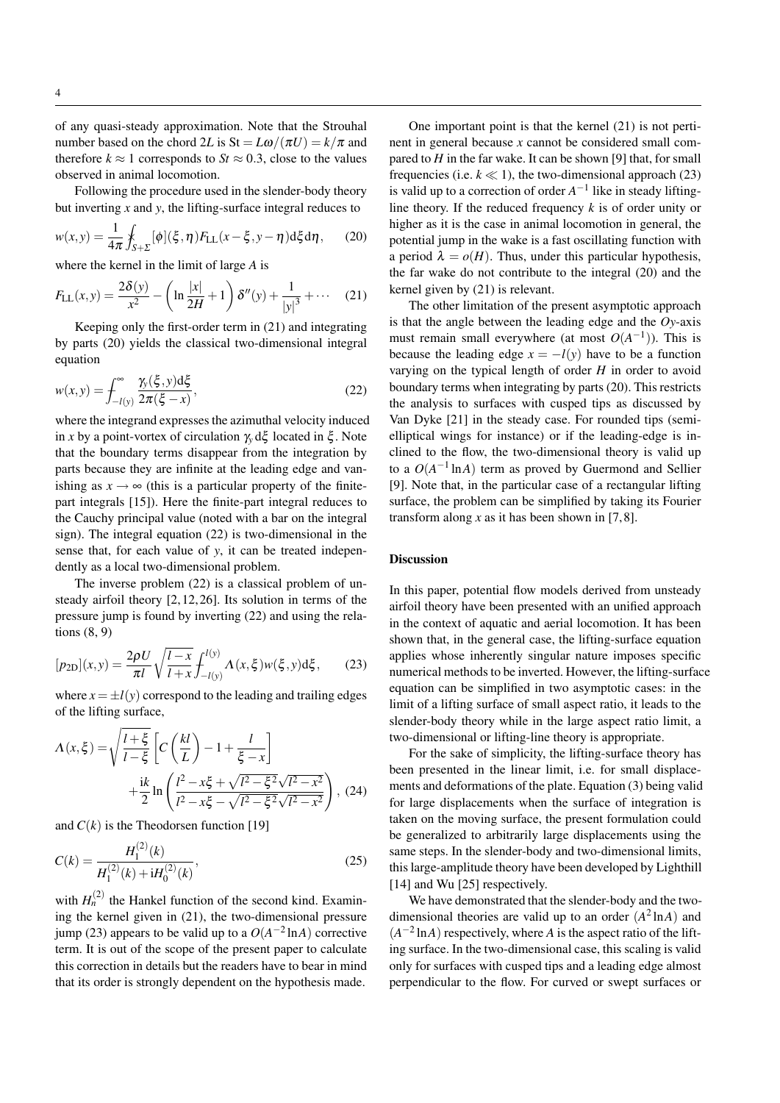of any quasi-steady approximation. Note that the Strouhal number based on the chord 2*L* is  $St = L\omega/(\pi U) = k/\pi$  and therefore  $k \approx 1$  corresponds to  $St \approx 0.3$ , close to the values observed in animal locomotion.

Following the procedure used in the slender-body theory but inverting *x* and *y*, the lifting-surface integral reduces to

$$
w(x,y) = \frac{1}{4\pi} \oint_{S+\Sigma} [\phi](\xi,\eta) F_{\text{LL}}(x-\xi,y-\eta) \, \text{d}\xi \, \text{d}\eta, \tag{20}
$$

where the kernel in the limit of large *A* is

$$
F_{\text{LL}}(x,y) = \frac{2\delta(y)}{x^2} - \left(\ln\frac{|x|}{2H} + 1\right)\delta''(y) + \frac{1}{|y|^3} + \cdots \quad (21)
$$

Keeping only the first-order term in (21) and integrating by parts (20) yields the classical two-dimensional integral equation

$$
w(x, y) = \int_{-l(y)}^{\infty} \frac{\gamma_y(\xi, y) d\xi}{2\pi(\xi - x)},
$$
\n(22)

where the integrand expresses the azimuthal velocity induced in *x* by a point-vortex of circulation  $\gamma$ <sup>*ν*</sup> dξ located in ξ. Note that the boundary terms disappear from the integration by parts because they are infinite at the leading edge and vanishing as  $x \rightarrow \infty$  (this is a particular property of the finitepart integrals [15]). Here the finite-part integral reduces to the Cauchy principal value (noted with a bar on the integral sign). The integral equation (22) is two-dimensional in the sense that, for each value of *y*, it can be treated independently as a local two-dimensional problem.

The inverse problem (22) is a classical problem of unsteady airfoil theory [2, 12, 26]. Its solution in terms of the pressure jump is found by inverting (22) and using the relations (8, 9)

$$
[p_{2D}](x,y) = \frac{2\rho U}{\pi l} \sqrt{\frac{l-x}{l+x}} \int_{-l(y)}^{l(y)} \Lambda(x,\xi) w(\xi,y) d\xi, \qquad (23)
$$

where  $x = \pm l(y)$  correspond to the leading and trailing edges of the lifting surface,

$$
\Lambda(x,\xi) = \sqrt{\frac{l+\xi}{l-\xi}} \left[ C\left(\frac{kl}{L}\right) - 1 + \frac{l}{\xi - x} \right] + \frac{ik}{2} \ln \left( \frac{l^2 - x\xi + \sqrt{l^2 - \xi^2} \sqrt{l^2 - x^2}}{l^2 - x\xi - \sqrt{l^2 - \xi^2} \sqrt{l^2 - x^2}} \right), (24)
$$

and  $C(k)$  is the Theodorsen function [19]

$$
C(k) = \frac{H_1^{(2)}(k)}{H_1^{(2)}(k) + iH_0^{(2)}(k)},
$$
\n(25)

with  $H_n^{(2)}$  the Hankel function of the second kind. Examining the kernel given in (21), the two-dimensional pressure jump (23) appears to be valid up to a  $O(A^{-2} \ln A)$  corrective term. It is out of the scope of the present paper to calculate this correction in details but the readers have to bear in mind that its order is strongly dependent on the hypothesis made.

One important point is that the kernel (21) is not pertinent in general because *x* cannot be considered small compared to *H* in the far wake. It can be shown [9] that, for small frequencies (i.e.  $k \ll 1$ ), the two-dimensional approach (23) is valid up to a correction of order  $A^{-1}$  like in steady liftingline theory. If the reduced frequency *k* is of order unity or higher as it is the case in animal locomotion in general, the potential jump in the wake is a fast oscillating function with a period  $\lambda = o(H)$ . Thus, under this particular hypothesis, the far wake do not contribute to the integral (20) and the kernel given by (21) is relevant.

The other limitation of the present asymptotic approach is that the angle between the leading edge and the *Oy*-axis must remain small everywhere (at most  $O(A^{-1})$ ). This is because the leading edge  $x = -l(y)$  have to be a function varying on the typical length of order *H* in order to avoid boundary terms when integrating by parts (20). This restricts the analysis to surfaces with cusped tips as discussed by Van Dyke [21] in the steady case. For rounded tips (semielliptical wings for instance) or if the leading-edge is inclined to the flow, the two-dimensional theory is valid up to a  $O(A^{-1} \ln A)$  term as proved by Guermond and Sellier [9]. Note that, in the particular case of a rectangular lifting surface, the problem can be simplified by taking its Fourier transform along  $x$  as it has been shown in [7,8].

#### **Discussion**

In this paper, potential flow models derived from unsteady airfoil theory have been presented with an unified approach in the context of aquatic and aerial locomotion. It has been shown that, in the general case, the lifting-surface equation applies whose inherently singular nature imposes specific numerical methods to be inverted. However, the lifting-surface equation can be simplified in two asymptotic cases: in the limit of a lifting surface of small aspect ratio, it leads to the slender-body theory while in the large aspect ratio limit, a two-dimensional or lifting-line theory is appropriate.

For the sake of simplicity, the lifting-surface theory has been presented in the linear limit, i.e. for small displacements and deformations of the plate. Equation (3) being valid for large displacements when the surface of integration is taken on the moving surface, the present formulation could be generalized to arbitrarily large displacements using the same steps. In the slender-body and two-dimensional limits, this large-amplitude theory have been developed by Lighthill [14] and Wu [25] respectively.

We have demonstrated that the slender-body and the twodimensional theories are valid up to an order  $(A^2 \ln A)$  and  $(A^{-2} \ln A)$  respectively, where *A* is the aspect ratio of the lifting surface. In the two-dimensional case, this scaling is valid only for surfaces with cusped tips and a leading edge almost perpendicular to the flow. For curved or swept surfaces or